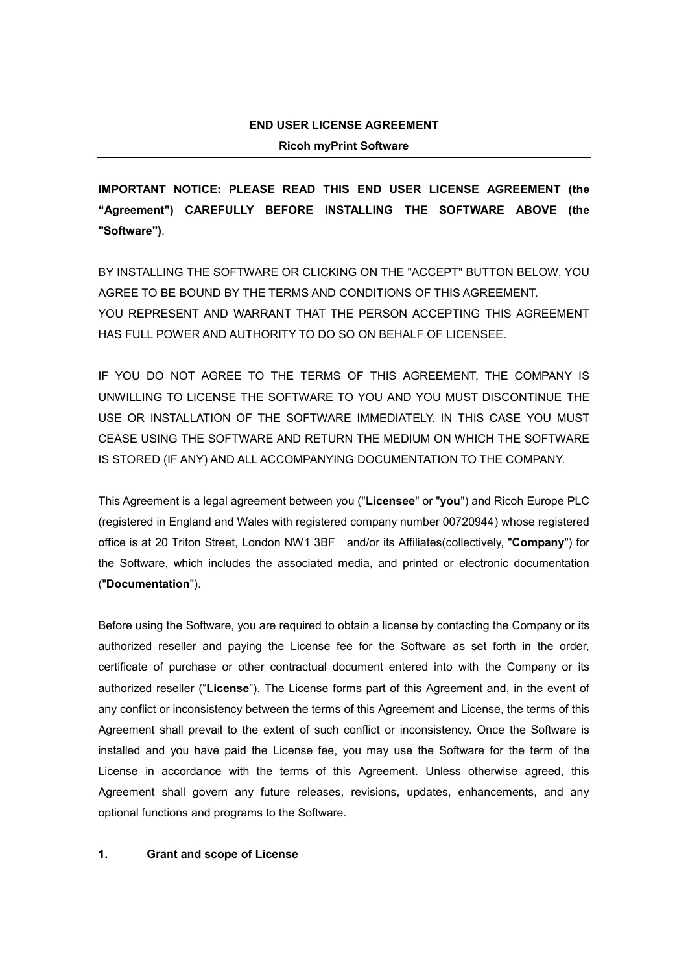# **END USER LICENSE AGREEMENT Ricoh myPrint Software**

**IMPORTANT NOTICE: PLEASE READ THIS END USER LICENSE AGREEMENT (the "Agreement") CAREFULLY BEFORE INSTALLING THE SOFTWARE ABOVE (the "Software")**.

BY INSTALLING THE SOFTWARE OR CLICKING ON THE "ACCEPT" BUTTON BELOW, YOU AGREE TO BE BOUND BY THE TERMS AND CONDITIONS OF THIS AGREEMENT. YOU REPRESENT AND WARRANT THAT THE PERSON ACCEPTING THIS AGREEMENT HAS FULL POWER AND AUTHORITY TO DO SO ON BEHALF OF LICENSEE.

IF YOU DO NOT AGREE TO THE TERMS OF THIS AGREEMENT, THE COMPANY IS UNWILLING TO LICENSE THE SOFTWARE TO YOU AND YOU MUST DISCONTINUE THE USE OR INSTALLATION OF THE SOFTWARE IMMEDIATELY. IN THIS CASE YOU MUST CEASE USING THE SOFTWARE AND RETURN THE MEDIUM ON WHICH THE SOFTWARE IS STORED (IF ANY) AND ALL ACCOMPANYING DOCUMENTATION TO THE COMPANY.

This Agreement is a legal agreement between you ("**Licensee**" or "**you**") and Ricoh Europe PLC (registered in England and Wales with registered company number 00720944) whose registered office is at 20 Triton Street, London NW1 3BF and/or its Affiliates(collectively, "**Company**") for the Software, which includes the associated media, and printed or electronic documentation ("**Documentation**").

Before using the Software, you are required to obtain a license by contacting the Company or its authorized reseller and paying the License fee for the Software as set forth in the order, certificate of purchase or other contractual document entered into with the Company or its authorized reseller ("**License**"). The License forms part of this Agreement and, in the event of any conflict or inconsistency between the terms of this Agreement and License, the terms of this Agreement shall prevail to the extent of such conflict or inconsistency. Once the Software is installed and you have paid the License fee, you may use the Software for the term of the License in accordance with the terms of this Agreement. Unless otherwise agreed, this Agreement shall govern any future releases, revisions, updates, enhancements, and any optional functions and programs to the Software.

## **1. Grant and scope of License**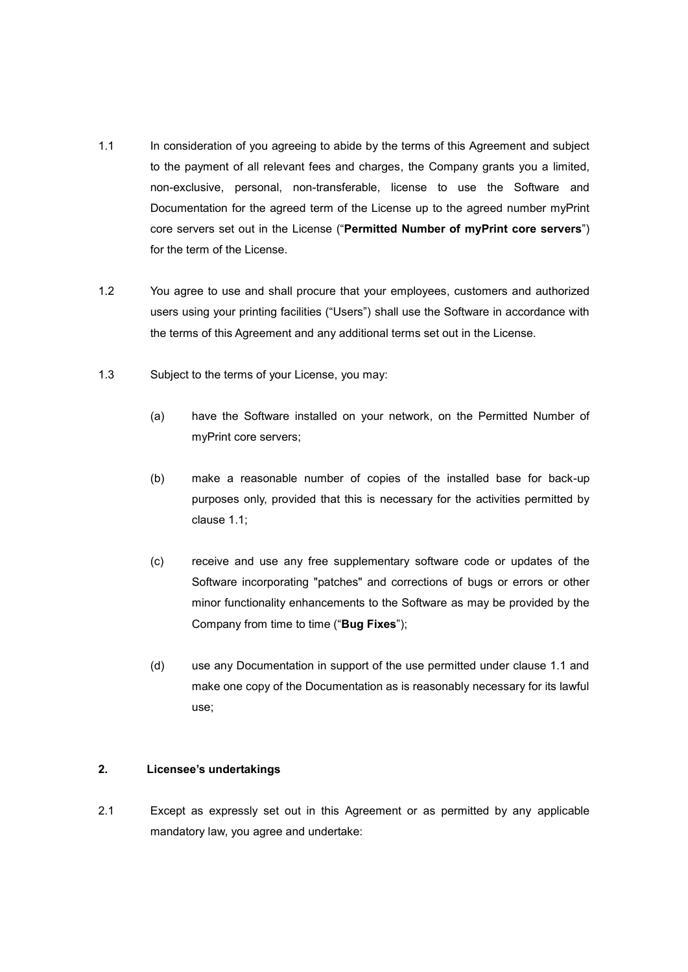- 1.1 In consideration of you agreeing to abide by the terms of this Agreement and subject to the payment of all relevant fees and charges, the Company grants you a limited, non-exclusive, personal, non-transferable, license to use the Software and Documentation for the agreed term of the License up to the agreed number myPrint core servers set out in the License ("**Permitted Number of myPrint core servers**") for the term of the License.
- 1.2 You agree to use and shall procure that your employees, customers and authorized users using your printing facilities ("Users") shall use the Software in accordance with the terms of this Agreement and any additional terms set out in the License.
- 1.3 Subject to the terms of your License, you may:
	- (a) have the Software installed on your network, on the Permitted Number of myPrint core servers;
	- (b) make a reasonable number of copies of the installed base for back-up purposes only, provided that this is necessary for the activities permitted by clause 1.1;
	- (c) receive and use any free supplementary software code or updates of the Software incorporating "patches" and corrections of bugs or errors or other minor functionality enhancements to the Software as may be provided by the Company from time to time ("**Bug Fixes**");
	- (d) use any Documentation in support of the use permitted under clause 1.1 and make one copy of the Documentation as is reasonably necessary for its lawful use;

## **2. Licensee's undertakings**

2.1 Except as expressly set out in this Agreement or as permitted by any applicable mandatory law, you agree and undertake: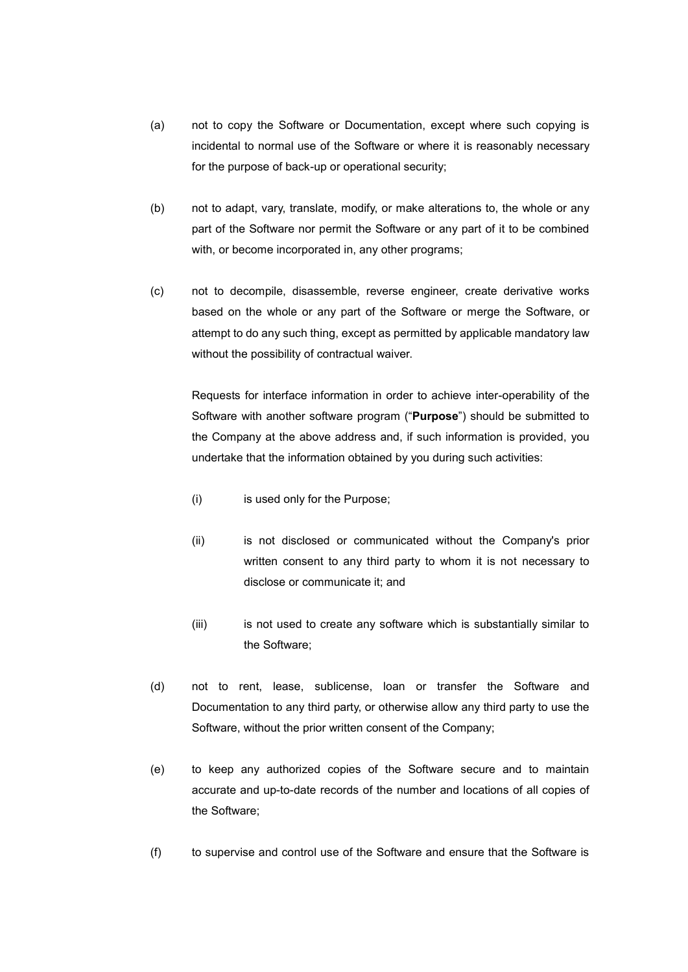- (a) not to copy the Software or Documentation, except where such copying is incidental to normal use of the Software or where it is reasonably necessary for the purpose of back-up or operational security;
- (b) not to adapt, vary, translate, modify, or make alterations to, the whole or any part of the Software nor permit the Software or any part of it to be combined with, or become incorporated in, any other programs;
- (c) not to decompile, disassemble, reverse engineer, create derivative works based on the whole or any part of the Software or merge the Software, or attempt to do any such thing, except as permitted by applicable mandatory law without the possibility of contractual waiver.

Requests for interface information in order to achieve inter-operability of the Software with another software program ("**Purpose**") should be submitted to the Company at the above address and, if such information is provided, you undertake that the information obtained by you during such activities:

- (i) is used only for the Purpose;
- (ii) is not disclosed or communicated without the Company's prior written consent to any third party to whom it is not necessary to disclose or communicate it; and
- (iii) is not used to create any software which is substantially similar to the Software;
- (d) not to rent, lease, sublicense, loan or transfer the Software and Documentation to any third party, or otherwise allow any third party to use the Software, without the prior written consent of the Company;
- (e) to keep any authorized copies of the Software secure and to maintain accurate and up-to-date records of the number and locations of all copies of the Software;
- (f) to supervise and control use of the Software and ensure that the Software is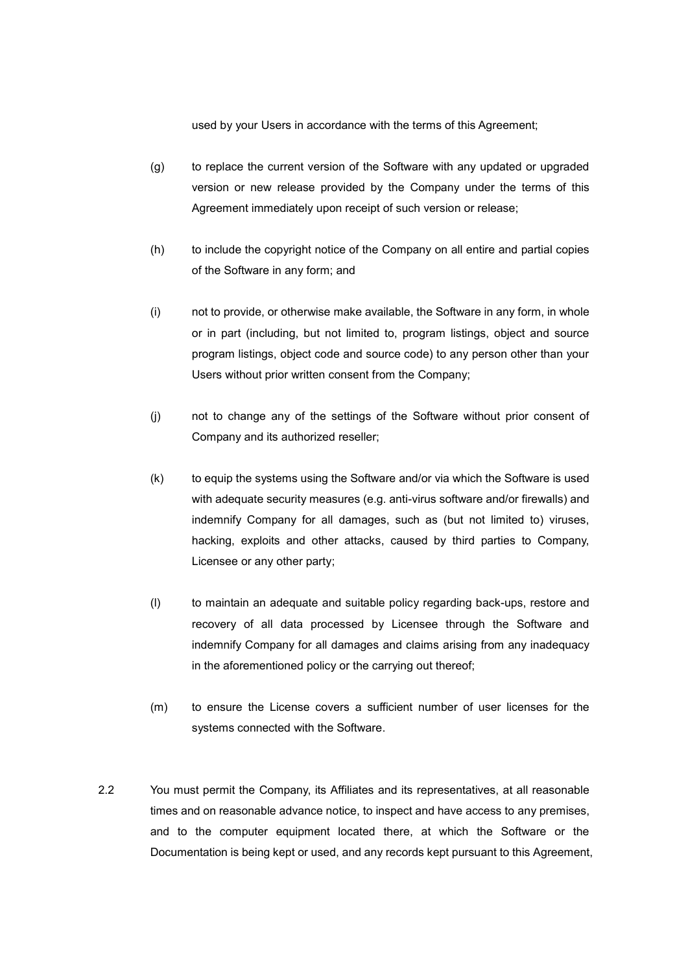used by your Users in accordance with the terms of this Agreement;

- (g) to replace the current version of the Software with any updated or upgraded version or new release provided by the Company under the terms of this Agreement immediately upon receipt of such version or release;
- (h) to include the copyright notice of the Company on all entire and partial copies of the Software in any form; and
- (i) not to provide, or otherwise make available, the Software in any form, in whole or in part (including, but not limited to, program listings, object and source program listings, object code and source code) to any person other than your Users without prior written consent from the Company;
- (j) not to change any of the settings of the Software without prior consent of Company and its authorized reseller;
- (k) to equip the systems using the Software and/or via which the Software is used with adequate security measures (e.g. anti-virus software and/or firewalls) and indemnify Company for all damages, such as (but not limited to) viruses, hacking, exploits and other attacks, caused by third parties to Company, Licensee or any other party;
- (l) to maintain an adequate and suitable policy regarding back-ups, restore and recovery of all data processed by Licensee through the Software and indemnify Company for all damages and claims arising from any inadequacy in the aforementioned policy or the carrying out thereof;
- (m) to ensure the License covers a sufficient number of user licenses for the systems connected with the Software.
- 2.2 You must permit the Company, its Affiliates and its representatives, at all reasonable times and on reasonable advance notice, to inspect and have access to any premises, and to the computer equipment located there, at which the Software or the Documentation is being kept or used, and any records kept pursuant to this Agreement,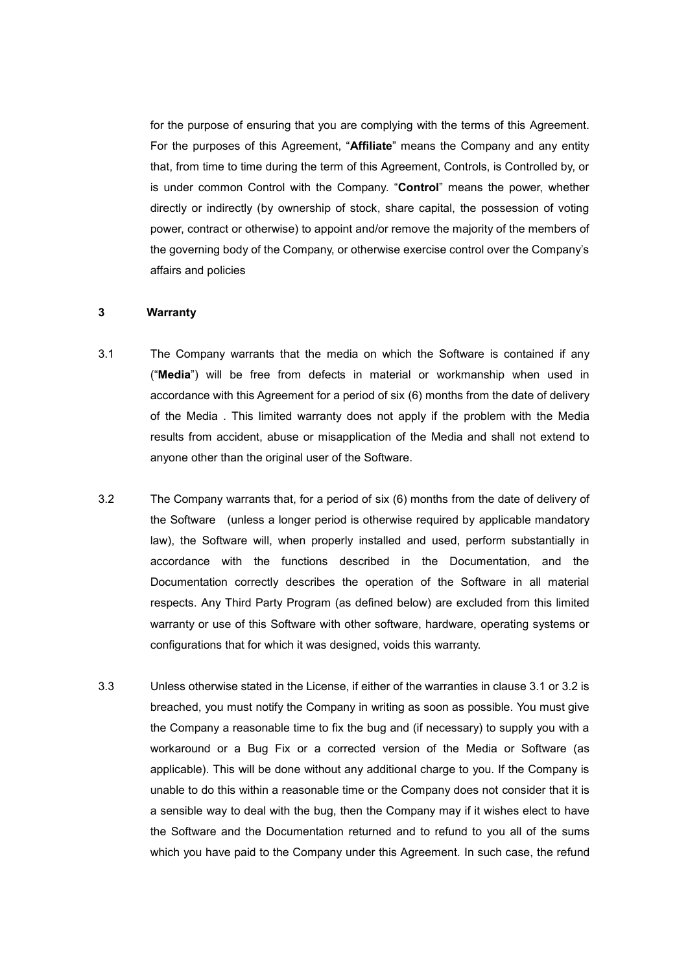for the purpose of ensuring that you are complying with the terms of this Agreement. For the purposes of this Agreement, "**Affiliate**" means the Company and any entity that, from time to time during the term of this Agreement, Controls, is Controlled by, or is under common Control with the Company. "**Control**" means the power, whether directly or indirectly (by ownership of stock, share capital, the possession of voting power, contract or otherwise) to appoint and/or remove the majority of the members of the governing body of the Company, or otherwise exercise control over the Company's affairs and policies

## **3 Warranty**

- 3.1 The Company warrants that the media on which the Software is contained if any ("**Media**") will be free from defects in material or workmanship when used in accordance with this Agreement for a period of six (6) months from the date of delivery of the Media . This limited warranty does not apply if the problem with the Media results from accident, abuse or misapplication of the Media and shall not extend to anyone other than the original user of the Software.
- 3.2 The Company warrants that, for a period of six (6) months from the date of delivery of the Software (unless a longer period is otherwise required by applicable mandatory law), the Software will, when properly installed and used, perform substantially in accordance with the functions described in the Documentation, and the Documentation correctly describes the operation of the Software in all material respects. Any Third Party Program (as defined below) are excluded from this limited warranty or use of this Software with other software, hardware, operating systems or configurations that for which it was designed, voids this warranty.
- 3.3 Unless otherwise stated in the License, if either of the warranties in clause 3.1 or 3.2 is breached, you must notify the Company in writing as soon as possible. You must give the Company a reasonable time to fix the bug and (if necessary) to supply you with a workaround or a Bug Fix or a corrected version of the Media or Software (as applicable). This will be done without any additional charge to you. If the Company is unable to do this within a reasonable time or the Company does not consider that it is a sensible way to deal with the bug, then the Company may if it wishes elect to have the Software and the Documentation returned and to refund to you all of the sums which you have paid to the Company under this Agreement. In such case, the refund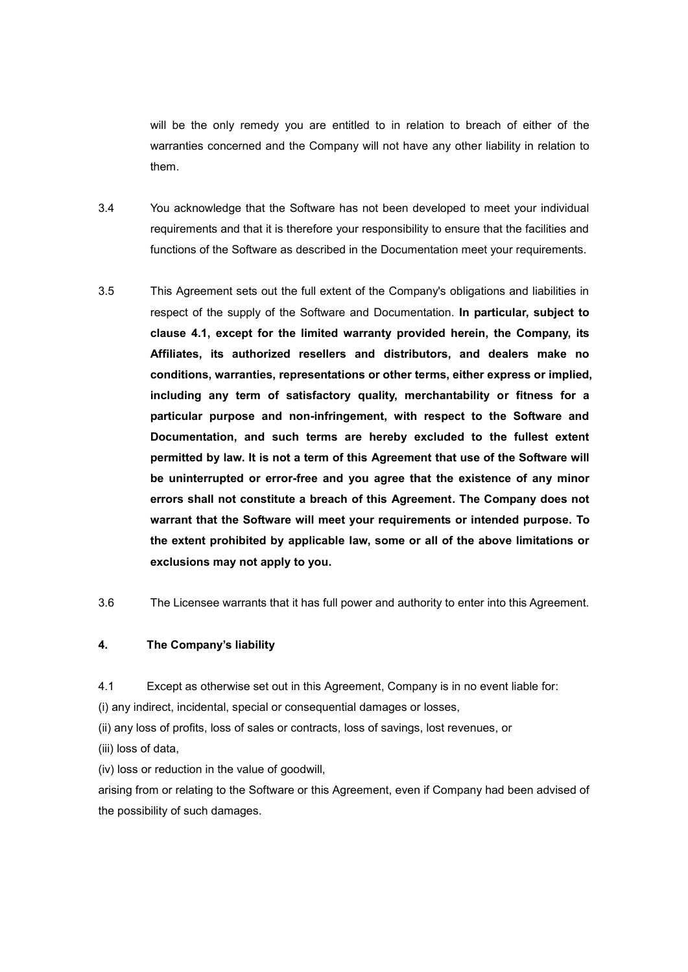will be the only remedy you are entitled to in relation to breach of either of the warranties concerned and the Company will not have any other liability in relation to them.

- 3.4 You acknowledge that the Software has not been developed to meet your individual requirements and that it is therefore your responsibility to ensure that the facilities and functions of the Software as described in the Documentation meet your requirements.
- 3.5 This Agreement sets out the full extent of the Company's obligations and liabilities in respect of the supply of the Software and Documentation. **In particular, subject to clause 4.1, except for the limited warranty provided herein, the Company, its Affiliates, its authorized resellers and distributors, and dealers make no conditions, warranties, representations or other terms, either express or implied, including any term of satisfactory quality, merchantability or fitness for a particular purpose and non-infringement, with respect to the Software and Documentation, and such terms are hereby excluded to the fullest extent permitted by law. It is not a term of this Agreement that use of the Software will be uninterrupted or error-free and you agree that the existence of any minor errors shall not constitute a breach of this Agreement. The Company does not warrant that the Software will meet your requirements or intended purpose. To the extent prohibited by applicable law, some or all of the above limitations or exclusions may not apply to you.**
- 3.6 The Licensee warrants that it has full power and authority to enter into this Agreement.

## **4. The Company's liability**

4.1 Except as otherwise set out in this Agreement, Company is in no event liable for:

(i) any indirect, incidental, special or consequential damages or losses,

- (ii) any loss of profits, loss of sales or contracts, loss of savings, lost revenues, or
- (iii) loss of data,

(iv) loss or reduction in the value of goodwill,

arising from or relating to the Software or this Agreement, even if Company had been advised of the possibility of such damages.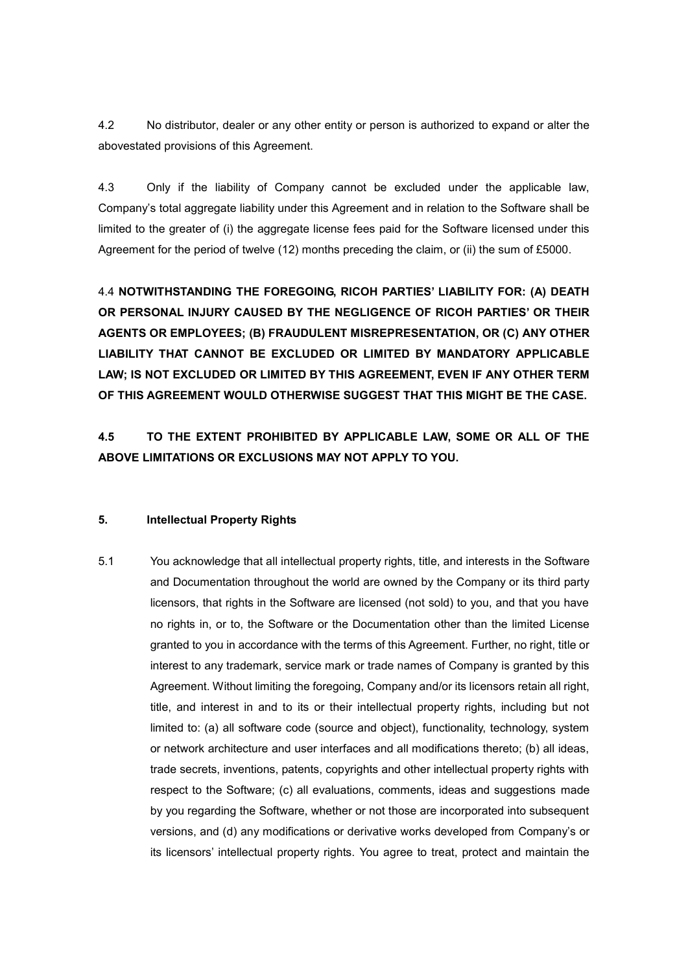4.2 No distributor, dealer or any other entity or person is authorized to expand or alter the abovestated provisions of this Agreement.

4.3 Only if the liability of Company cannot be excluded under the applicable law, Company's total aggregate liability under this Agreement and in relation to the Software shall be limited to the greater of (i) the aggregate license fees paid for the Software licensed under this Agreement for the period of twelve (12) months preceding the claim, or (ii) the sum of £5000.

4.4 **NOTWITHSTANDING THE FOREGOING, RICOH PARTIES' LIABILITY FOR: (A) DEATH OR PERSONAL INJURY CAUSED BY THE NEGLIGENCE OF RICOH PARTIES' OR THEIR AGENTS OR EMPLOYEES; (B) FRAUDULENT MISREPRESENTATION, OR (C) ANY OTHER LIABILITY THAT CANNOT BE EXCLUDED OR LIMITED BY MANDATORY APPLICABLE LAW; IS NOT EXCLUDED OR LIMITED BY THIS AGREEMENT, EVEN IF ANY OTHER TERM OF THIS AGREEMENT WOULD OTHERWISE SUGGEST THAT THIS MIGHT BE THE CASE.**

**4.5 TO THE EXTENT PROHIBITED BY APPLICABLE LAW, SOME OR ALL OF THE ABOVE LIMITATIONS OR EXCLUSIONS MAY NOT APPLY TO YOU.** 

#### **5. Intellectual Property Rights**

5.1 You acknowledge that all intellectual property rights, title, and interests in the Software and Documentation throughout the world are owned by the Company or its third party licensors, that rights in the Software are licensed (not sold) to you, and that you have no rights in, or to, the Software or the Documentation other than the limited License granted to you in accordance with the terms of this Agreement. Further, no right, title or interest to any trademark, service mark or trade names of Company is granted by this Agreement. Without limiting the foregoing, Company and/or its licensors retain all right, title, and interest in and to its or their intellectual property rights, including but not limited to: (a) all software code (source and object), functionality, technology, system or network architecture and user interfaces and all modifications thereto; (b) all ideas, trade secrets, inventions, patents, copyrights and other intellectual property rights with respect to the Software; (c) all evaluations, comments, ideas and suggestions made by you regarding the Software, whether or not those are incorporated into subsequent versions, and (d) any modifications or derivative works developed from Company's or its licensors' intellectual property rights. You agree to treat, protect and maintain the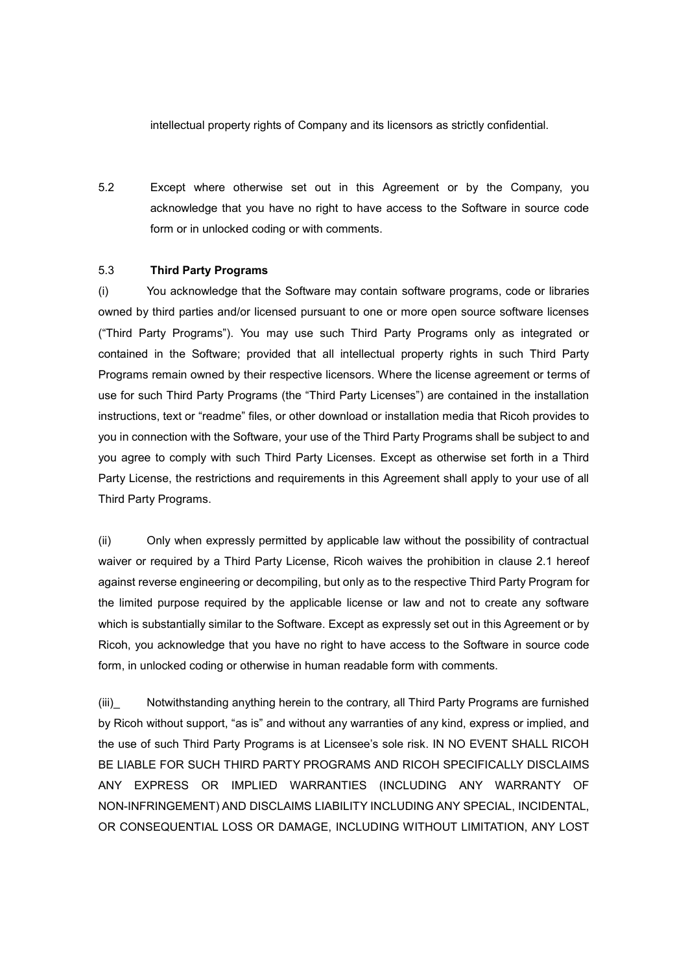intellectual property rights of Company and its licensors as strictly confidential.

5.2 Except where otherwise set out in this Agreement or by the Company, you acknowledge that you have no right to have access to the Software in source code form or in unlocked coding or with comments.

#### 5.3 **Third Party Programs**

(i) You acknowledge that the Software may contain software programs, code or libraries owned by third parties and/or licensed pursuant to one or more open source software licenses ("Third Party Programs"). You may use such Third Party Programs only as integrated or contained in the Software; provided that all intellectual property rights in such Third Party Programs remain owned by their respective licensors. Where the license agreement or terms of use for such Third Party Programs (the "Third Party Licenses") are contained in the installation instructions, text or "readme" files, or other download or installation media that Ricoh provides to you in connection with the Software, your use of the Third Party Programs shall be subject to and you agree to comply with such Third Party Licenses. Except as otherwise set forth in a Third Party License, the restrictions and requirements in this Agreement shall apply to your use of all Third Party Programs.

(ii) Only when expressly permitted by applicable law without the possibility of contractual waiver or required by a Third Party License, Ricoh waives the prohibition in clause 2.1 hereof against reverse engineering or decompiling, but only as to the respective Third Party Program for the limited purpose required by the applicable license or law and not to create any software which is substantially similar to the Software. Except as expressly set out in this Agreement or by Ricoh, you acknowledge that you have no right to have access to the Software in source code form, in unlocked coding or otherwise in human readable form with comments.

(iii)\_ Notwithstanding anything herein to the contrary, all Third Party Programs are furnished by Ricoh without support, "as is" and without any warranties of any kind, express or implied, and the use of such Third Party Programs is at Licensee's sole risk. IN NO EVENT SHALL RICOH BE LIABLE FOR SUCH THIRD PARTY PROGRAMS AND RICOH SPECIFICALLY DISCLAIMS ANY EXPRESS OR IMPLIED WARRANTIES (INCLUDING ANY WARRANTY OF NON-INFRINGEMENT) AND DISCLAIMS LIABILITY INCLUDING ANY SPECIAL, INCIDENTAL, OR CONSEQUENTIAL LOSS OR DAMAGE, INCLUDING WITHOUT LIMITATION, ANY LOST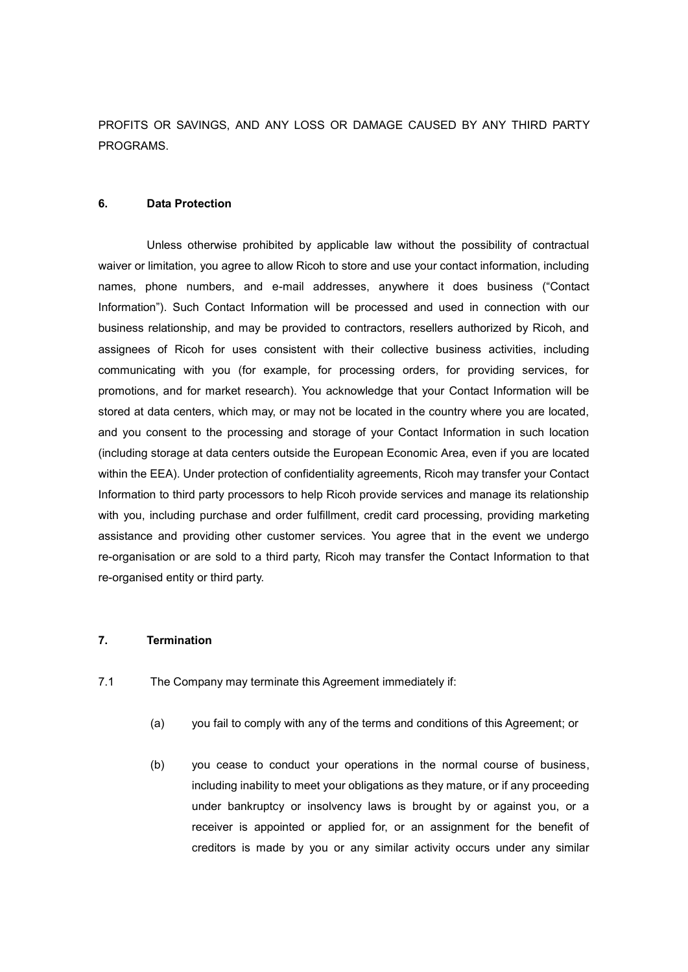PROFITS OR SAVINGS, AND ANY LOSS OR DAMAGE CAUSED BY ANY THIRD PARTY PROGRAMS.

#### **6. Data Protection**

Unless otherwise prohibited by applicable law without the possibility of contractual waiver or limitation, you agree to allow Ricoh to store and use your contact information, including names, phone numbers, and e-mail addresses, anywhere it does business ("Contact Information"). Such Contact Information will be processed and used in connection with our business relationship, and may be provided to contractors, resellers authorized by Ricoh, and assignees of Ricoh for uses consistent with their collective business activities, including communicating with you (for example, for processing orders, for providing services, for promotions, and for market research). You acknowledge that your Contact Information will be stored at data centers, which may, or may not be located in the country where you are located, and you consent to the processing and storage of your Contact Information in such location (including storage at data centers outside the European Economic Area, even if you are located within the EEA). Under protection of confidentiality agreements, Ricoh may transfer your Contact Information to third party processors to help Ricoh provide services and manage its relationship with you, including purchase and order fulfillment, credit card processing, providing marketing assistance and providing other customer services. You agree that in the event we undergo re-organisation or are sold to a third party, Ricoh may transfer the Contact Information to that re-organised entity or third party.

#### **7. Termination**

- 7.1 The Company may terminate this Agreement immediately if:
	- (a) you fail to comply with any of the terms and conditions of this Agreement; or
	- (b) you cease to conduct your operations in the normal course of business, including inability to meet your obligations as they mature, or if any proceeding under bankruptcy or insolvency laws is brought by or against you, or a receiver is appointed or applied for, or an assignment for the benefit of creditors is made by you or any similar activity occurs under any similar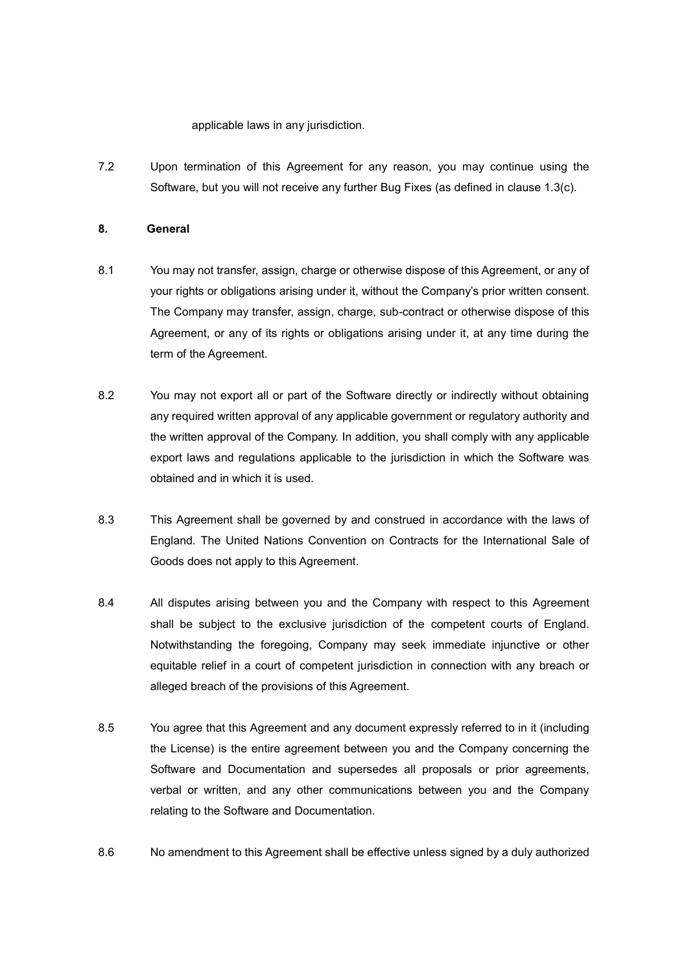applicable laws in any jurisdiction.

7.2 Upon termination of this Agreement for any reason, you may continue using the Software, but you will not receive any further Bug Fixes (as defined in clause 1.3(c).

## **8. General**

- 8.1 You may not transfer, assign, charge or otherwise dispose of this Agreement, or any of your rights or obligations arising under it, without the Company's prior written consent. The Company may transfer, assign, charge, sub-contract or otherwise dispose of this Agreement, or any of its rights or obligations arising under it, at any time during the term of the Agreement.
- 8.2 You may not export all or part of the Software directly or indirectly without obtaining any required written approval of any applicable government or regulatory authority and the written approval of the Company. In addition, you shall comply with any applicable export laws and regulations applicable to the jurisdiction in which the Software was obtained and in which it is used.
- 8.3 This Agreement shall be governed by and construed in accordance with the laws of England. The United Nations Convention on Contracts for the International Sale of Goods does not apply to this Agreement.
- 8.4 All disputes arising between you and the Company with respect to this Agreement shall be subject to the exclusive jurisdiction of the competent courts of England. Notwithstanding the foregoing, Company may seek immediate injunctive or other equitable relief in a court of competent jurisdiction in connection with any breach or alleged breach of the provisions of this Agreement.
- 8.5 You agree that this Agreement and any document expressly referred to in it (including the License) is the entire agreement between you and the Company concerning the Software and Documentation and supersedes all proposals or prior agreements, verbal or written, and any other communications between you and the Company relating to the Software and Documentation.
- 8.6 No amendment to this Agreement shall be effective unless signed by a duly authorized